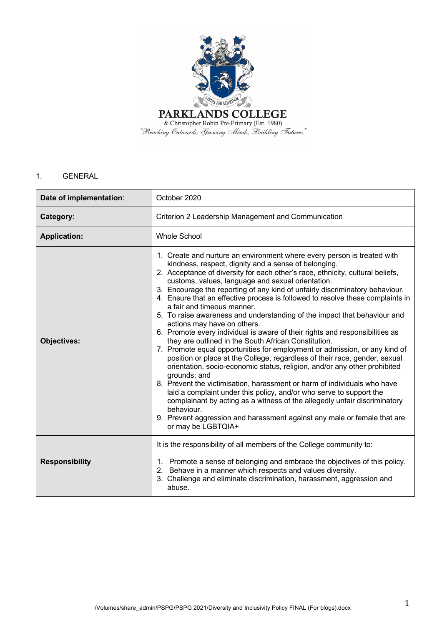

# 1. GENERAL

| Date of implementation: | October 2020                                                                                                                                                                                                                                                                                                                                                                                                                                                                                                                                                                                                                                                                                                                                                                                                                                                                                                                                                                                                                                                                                                                                                                                                                                                                                                                       |  |
|-------------------------|------------------------------------------------------------------------------------------------------------------------------------------------------------------------------------------------------------------------------------------------------------------------------------------------------------------------------------------------------------------------------------------------------------------------------------------------------------------------------------------------------------------------------------------------------------------------------------------------------------------------------------------------------------------------------------------------------------------------------------------------------------------------------------------------------------------------------------------------------------------------------------------------------------------------------------------------------------------------------------------------------------------------------------------------------------------------------------------------------------------------------------------------------------------------------------------------------------------------------------------------------------------------------------------------------------------------------------|--|
| Category:               | Criterion 2 Leadership Management and Communication                                                                                                                                                                                                                                                                                                                                                                                                                                                                                                                                                                                                                                                                                                                                                                                                                                                                                                                                                                                                                                                                                                                                                                                                                                                                                |  |
| <b>Application:</b>     | <b>Whole School</b>                                                                                                                                                                                                                                                                                                                                                                                                                                                                                                                                                                                                                                                                                                                                                                                                                                                                                                                                                                                                                                                                                                                                                                                                                                                                                                                |  |
| <b>Objectives:</b>      | 1. Create and nurture an environment where every person is treated with<br>kindness, respect, dignity and a sense of belonging.<br>2. Acceptance of diversity for each other's race, ethnicity, cultural beliefs,<br>customs, values, language and sexual orientation.<br>3. Encourage the reporting of any kind of unfairly discriminatory behaviour.<br>4. Ensure that an effective process is followed to resolve these complaints in<br>a fair and timeous manner.<br>5. To raise awareness and understanding of the impact that behaviour and<br>actions may have on others.<br>6. Promote every individual is aware of their rights and responsibilities as<br>they are outlined in the South African Constitution.<br>7. Promote equal opportunities for employment or admission, or any kind of<br>position or place at the College, regardless of their race, gender, sexual<br>orientation, socio-economic status, religion, and/or any other prohibited<br>grounds; and<br>8. Prevent the victimisation, harassment or harm of individuals who have<br>laid a complaint under this policy, and/or who serve to support the<br>complainant by acting as a witness of the allegedly unfair discriminatory<br>behaviour.<br>9. Prevent aggression and harassment against any male or female that are<br>or may be LGBTQIA+ |  |
| <b>Responsibility</b>   | It is the responsibility of all members of the College community to:<br>1. Promote a sense of belonging and embrace the objectives of this policy.<br>2. Behave in a manner which respects and values diversity.<br>3. Challenge and eliminate discrimination, harassment, aggression and<br>abuse.                                                                                                                                                                                                                                                                                                                                                                                                                                                                                                                                                                                                                                                                                                                                                                                                                                                                                                                                                                                                                                |  |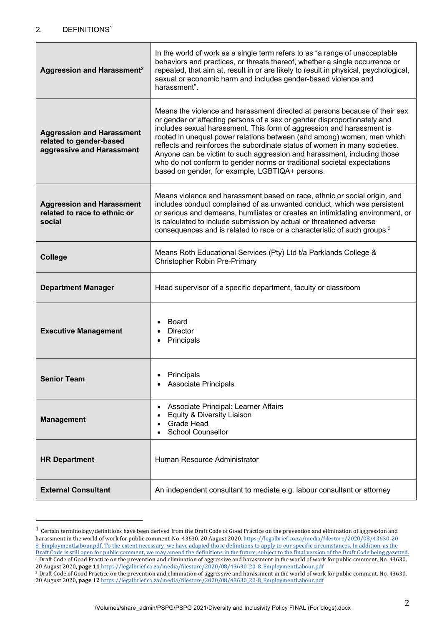## 2. DEFINITIONS1

| Aggression and Harassment <sup>2</sup>                                                   | In the world of work as a single term refers to as "a range of unacceptable<br>behaviors and practices, or threats thereof, whether a single occurrence or<br>repeated, that aim at, result in or are likely to result in physical, psychological,<br>sexual or economic harm and includes gender-based violence and<br>harassment".                                                                                                                                                                                                                                                             |  |
|------------------------------------------------------------------------------------------|--------------------------------------------------------------------------------------------------------------------------------------------------------------------------------------------------------------------------------------------------------------------------------------------------------------------------------------------------------------------------------------------------------------------------------------------------------------------------------------------------------------------------------------------------------------------------------------------------|--|
| <b>Aggression and Harassment</b><br>related to gender-based<br>aggressive and Harassment | Means the violence and harassment directed at persons because of their sex<br>or gender or affecting persons of a sex or gender disproportionately and<br>includes sexual harassment. This form of aggression and harassment is<br>rooted in unequal power relations between (and among) women, men which<br>reflects and reinforces the subordinate status of women in many societies.<br>Anyone can be victim to such aggression and harassment, including those<br>who do not conform to gender norms or traditional societal expectations<br>based on gender, for example, LGBTIQA+ persons. |  |
| <b>Aggression and Harassment</b><br>related to race to ethnic or<br>social               | Means violence and harassment based on race, ethnic or social origin, and<br>includes conduct complained of as unwanted conduct, which was persistent<br>or serious and demeans, humiliates or creates an intimidating environment, or<br>is calculated to include submission by actual or threatened adverse<br>consequences and is related to race or a characteristic of such groups. <sup>3</sup>                                                                                                                                                                                            |  |
| <b>College</b>                                                                           | Means Roth Educational Services (Pty) Ltd t/a Parklands College &<br>Christopher Robin Pre-Primary                                                                                                                                                                                                                                                                                                                                                                                                                                                                                               |  |
| <b>Department Manager</b>                                                                | Head supervisor of a specific department, faculty or classroom                                                                                                                                                                                                                                                                                                                                                                                                                                                                                                                                   |  |
| <b>Executive Management</b>                                                              | Board<br><b>Director</b><br>Principals                                                                                                                                                                                                                                                                                                                                                                                                                                                                                                                                                           |  |
| Senior Team                                                                              | Principals<br><b>Associate Principals</b>                                                                                                                                                                                                                                                                                                                                                                                                                                                                                                                                                        |  |
| <b>Management</b>                                                                        | Associate Principal: Learner Affairs<br>Equity & Diversity Liaison<br>Grade Head<br><b>School Counsellor</b>                                                                                                                                                                                                                                                                                                                                                                                                                                                                                     |  |
| <b>HR Department</b>                                                                     | Human Resource Administrator                                                                                                                                                                                                                                                                                                                                                                                                                                                                                                                                                                     |  |
| <b>External Consultant</b>                                                               | An independent consultant to mediate e.g. labour consultant or attorney                                                                                                                                                                                                                                                                                                                                                                                                                                                                                                                          |  |

 $^1$  Certain terminology/definitions have been derived from the Draft Code of Good Practice on the prevention and elimination of aggression and harassment in the world of work for public comment. No. 43630. 20 August 2020. https://legalbrief.co.za/media/filestore/2020/08/43630\_20-8 EmploymentLabour.pdf. To the extent necessary, we have adapted those definitions to apply to our specific circumstances. In addition, as the Draft Code is still open for public comment, we may amend the definitions in the future, subject to the final version of the Draft Code being gazetted. <sup>2</sup> Draft Code of Good Practice on the prevention and elimination of aggressive and harassment in the world of work for public comment. No. 43630. 20 August 2020, page 11 https://legalbrief.co.za/media/filestore/2020/08/43630\_20-8\_EmploymentLabour.pdf

<sup>&</sup>lt;sup>3</sup> Draft Code of Good Practice on the prevention and elimination of aggressive and harassment in the world of work for public comment. No. 43630. 20 August 2020, **page 12** https://legalbrief.co.za/media/filestore/2020/08/43630\_20-8\_EmploymentLabour.pdf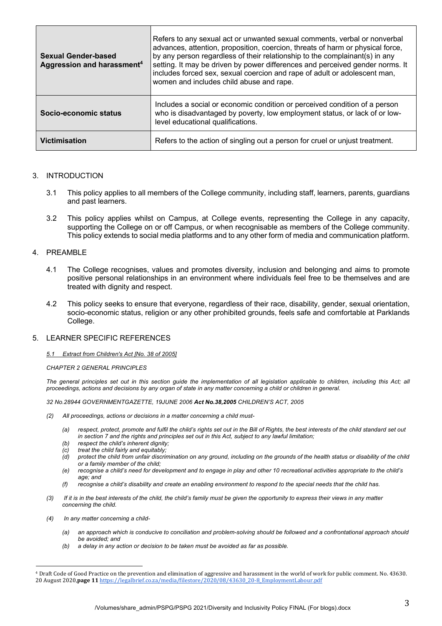| <b>Sexual Gender-based</b><br>Aggression and harassment <sup>4</sup> | Refers to any sexual act or unwanted sexual comments, verbal or nonverbal<br>advances, attention, proposition, coercion, threats of harm or physical force,<br>by any person regardless of their relationship to the complainant(s) in any<br>setting. It may be driven by power differences and perceived gender norms. It<br>includes forced sex, sexual coercion and rape of adult or adolescent man,<br>women and includes child abuse and rape. |
|----------------------------------------------------------------------|------------------------------------------------------------------------------------------------------------------------------------------------------------------------------------------------------------------------------------------------------------------------------------------------------------------------------------------------------------------------------------------------------------------------------------------------------|
| Socio-economic status                                                | Includes a social or economic condition or perceived condition of a person<br>who is disadvantaged by poverty, low employment status, or lack of or low-<br>level educational qualifications.                                                                                                                                                                                                                                                        |
| <b>Victimisation</b>                                                 | Refers to the action of singling out a person for cruel or unjust treatment.                                                                                                                                                                                                                                                                                                                                                                         |

#### 3. INTRODUCTION

- 3.1 This policy applies to all members of the College community, including staff, learners, parents, guardians and past learners.
- 3.2 This policy applies whilst on Campus, at College events, representing the College in any capacity, supporting the College on or off Campus, or when recognisable as members of the College community. This policy extends to social media platforms and to any other form of media and communication platform.

#### 4. PREAMBLE

- 4.1 The College recognises, values and promotes diversity, inclusion and belonging and aims to promote positive personal relationships in an environment where individuals feel free to be themselves and are treated with dignity and respect.
- 4.2 This policy seeks to ensure that everyone, regardless of their race, disability, gender, sexual orientation, socio-economic status, religion or any other prohibited grounds, feels safe and comfortable at Parklands College.

#### 5. LEARNER SPECIFIC REFERENCES

#### *5.1 Extract from Children's Act [No. 38 of 2005]*

#### *CHAPTER 2 GENERAL PRINCIPLES*

The general principles set out in this section guide the implementation of all legislation applicable to children, including this Act; all *proceedings, actions and decisions by any organ of state in any matter concerning a child or children in general.*

*32 No.28944 GOVERNMENTGAZETTE, 19JUNE 2006 Act No.38,2005 CHILDREN'S ACT, 2005*

- *(2) All proceedings, actions or decisions in a matter concerning a child must-*
	- *(a) respect, protect, promote and fulfil the child's rights set out in the Bill of Rights, the best interests of the child standard set out in section 7 and the rights and principles set out in this Act, subject to any lawful limitation;*
	- *(b) respect the child's inherent dignity;*
	- *(c) treat the child fairly and equitably;*
	- *(d) protect the child from unfair discrimination on any ground, including on the grounds of the health status or disability of the child or a family member of the child;*
	- *(e) recognise a child's need for development and to engage in play and other 10 recreational activities appropriate to the child's age; and*
	- *(f) recognise a child's disability and create an enabling environment to respond to the special needs that the child has.*
- *(3) If it is in the best interests of the child, the child's family must be given the opportunity to express their views in any matter concerning the child.*
- *(4) In any matter concerning a child-*
	- *(a) an approach which is conducive to conciliation and problem-solving should be followed and a confrontational approach should be avoided; and*
	- *(b) a delay in any action or decision to be taken must be avoided as far as possible.*

<sup>&</sup>lt;sup>4</sup> Draft Code of Good Practice on the prevention and elimination of aggressive and harassment in the world of work for public comment. No. 43630. 20 August 2020, page 11 https://legalbrief.co.za/media/filestore/2020/08/43630\_20-8\_EmploymentLabour.pdf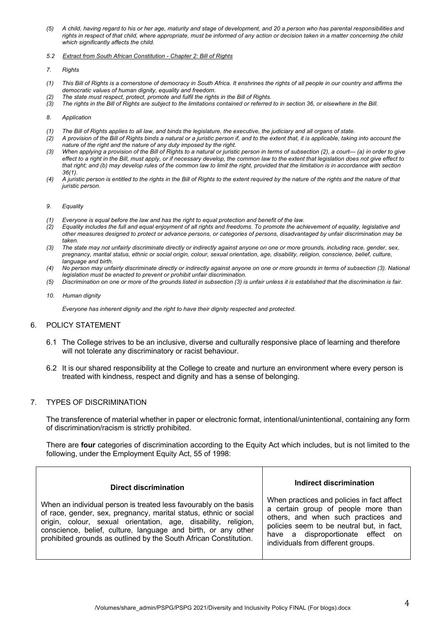- *(5) A child, having regard to his or her age, maturity and stage of development, and 20 a person who has parental responsibilities and rights in respect of that child, where appropriate, must be informed of any action or decision taken in a matter concerning the child which significantly affects the child.*
- *5.2 Extract from South African Constitution - Chapter 2: Bill of Rights*
- *7. Rights*
- *(1) This Bill of Rights is a cornerstone of democracy in South Africa. It enshrines the rights of all people in our country and affirms the democratic values of human dignity, equality and freedom.*
- *(2) The state must respect, protect, promote and fulfil the rights in the Bill of Rights.*
- *(3) The rights in the Bill of Rights are subject to the limitations contained or referred to in section 36, or elsewhere in the Bill.*
- *8. Application*
- *(1) The Bill of Rights applies to all law, and binds the legislature, the executive, the judiciary and all organs of state.*
- *(2) A provision of the Bill of Rights binds a natural or a juristic person if, and to the extent that, it is applicable, taking into account the nature of the right and the nature of any duty imposed by the right.*
- *(3) When applying a provision of the Bill of Rights to a natural or juristic person in terms of subsection (2), a court— (a) in order to give effect to a right in the Bill, must apply, or if necessary develop, the common law to the extent that legislation does not give effect to* that right; and (b) may develop rules of the common law to limit the right, provided that the limitation is in accordance with section *36(1).*
- *(4) A juristic person is entitled to the rights in the Bill of Rights to the extent required by the nature of the rights and the nature of that juristic person.*

#### *9. Equality*

- *(1) Everyone is equal before the law and has the right to equal protection and benefit of the law.*
- *(2) Equality includes the full and equal enjoyment of all rights and freedoms. To promote the achievement of equality, legislative and other measures designed to protect or advance persons, or categories of persons, disadvantaged by unfair discrimination may be taken.*
- *(3) The state may not unfairly discriminate directly or indirectly against anyone on one or more grounds, including race, gender, sex, pregnancy, marital status, ethnic or social origin, colour, sexual orientation, age, disability, religion, conscience, belief, culture, language and birth.*
- *(4) No person may unfairly discriminate directly or indirectly against anyone on one or more grounds in terms of subsection (3). National legislation must be enacted to prevent or prohibit unfair discrimination.*
- *(5) Discrimination on one or more of the grounds listed in subsection (3) is unfair unless it is established that the discrimination is fair.*
- *10. Human dignity*

*Everyone has inherent dignity and the right to have their dignity respected and protected.* 

### 6. POLICY STATEMENT

- 6.1 The College strives to be an inclusive, diverse and culturally responsive place of learning and therefore will not tolerate any discriminatory or racist behaviour.
- 6.2 It is our shared responsibility at the College to create and nurture an environment where every person is treated with kindness, respect and dignity and has a sense of belonging.

### 7. TYPES OF DISCRIMINATION

The transference of material whether in paper or electronic format, intentional/unintentional, containing any form of discrimination/racism is strictly prohibited.

There are **four** categories of discrimination according to the Equity Act which includes, but is not limited to the following, under the Employment Equity Act, 55 of 1998:

| Direct discrimination                                                                                                                                                                                                                                                                                                                          | Indirect discrimination                                                                                                                                                                                                                          |
|------------------------------------------------------------------------------------------------------------------------------------------------------------------------------------------------------------------------------------------------------------------------------------------------------------------------------------------------|--------------------------------------------------------------------------------------------------------------------------------------------------------------------------------------------------------------------------------------------------|
| When an individual person is treated less favourably on the basis<br>of race, gender, sex, pregnancy, marital status, ethnic or social<br>origin, colour, sexual orientation, age, disability, religion,<br>conscience, belief, culture, language and birth, or any other<br>prohibited grounds as outlined by the South African Constitution. | When practices and policies in fact affect<br>a certain group of people more than<br>others, and when such practices and<br>policies seem to be neutral but, in fact,<br>have a disproportionate effect on<br>individuals from different groups. |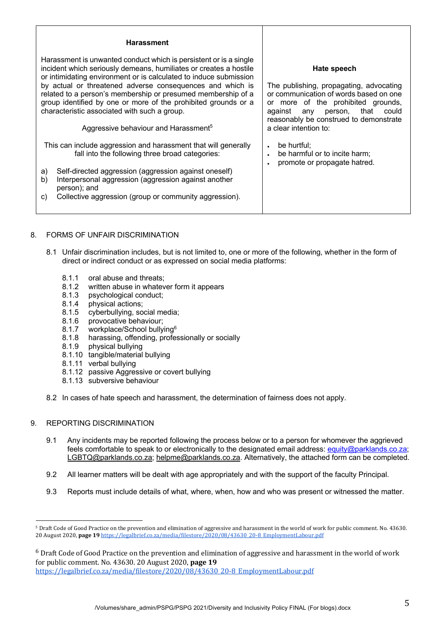#### **Harassment**

Harassment is unwanted conduct which is persistent or is a single incident which seriously demeans, humiliates or creates a hostile or intimidating environment or is calculated to induce submission by actual or threatened adverse consequences and which is related to a person's membership or presumed membership of a group identified by one or more of the prohibited grounds or a characteristic associated with such a group.

Aggressive behaviour and Harassment5

This can include aggression and harassment that will generally fall into the following three broad categories:

- a) Self-directed aggression (aggression against oneself)
- b) Interpersonal aggression (aggression against another person); and
- c) Collective aggression (group or community aggression).

**Hate speech**

The publishing, propagating, advocating or communication of words based on one or more of the prohibited grounds, against any person, that could reasonably be construed to demonstrate a clear intention to:

- be hurtful:
- be harmful or to incite harm;
- promote or propagate hatred.

- 8. FORMS OF UNFAIR DISCRIMINATION
	- 8.1 Unfair discrimination includes, but is not limited to, one or more of the following, whether in the form of direct or indirect conduct or as expressed on social media platforms:
		- 8.1.1 oral abuse and threats;
		- 8.1.2 written abuse in whatever form it appears
		- 8.1.3 psychological conduct;
		- 8.1.4 physical actions;
		- 8.1.5 cyberbullying, social media;
		- 8.1.6 provocative behaviour;
		- 8.1.7 workplace/School bullying<sup>6</sup>
		- 8.1.8 harassing, offending, professionally or socially
		- 8.1.9 physical bullying
		- 8.1.10 tangible/material bullying
		- 8.1.11 verbal bullying
		- 8.1.12 passive Aggressive or covert bullying
		- 8.1.13 subversive behaviour
	- 8.2 In cases of hate speech and harassment, the determination of fairness does not apply.

### 9. REPORTING DISCRIMINATION

- 9.1 Any incidents may be reported following the process below or to a person for whomever the aggrieved feels comfortable to speak to or electronically to the designated email address: equity@parklands.co.za; LGBTQ@parklands.co.za; helpme@parklands.co.za. Alternatively, the attached form can be completed.
- 9.2 All learner matters will be dealt with age appropriately and with the support of the faculty Principal.
- 9.3 Reports must include details of what, where, when, how and who was present or witnessed the matter.

<sup>&</sup>lt;sup>5</sup> Draft Code of Good Practice on the prevention and elimination of aggressive and harassment in the world of work for public comment. No. 43630. 20 August 2020, page 19 https://legalbrief.co.za/media/filestore/2020/08/43630\_20-8\_EmploymentLabour.pdf

 $6$  Draft Code of Good Practice on the prevention and elimination of aggressive and harassment in the world of work for public comment. No. 43630. 20 August 2020, page 19 https://legalbrief.co.za/media/filestore/2020/08/43630\_20-8\_EmploymentLabour.pdf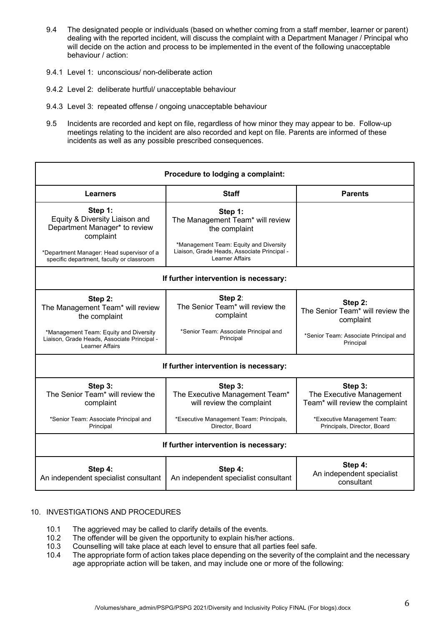- 9.4 The designated people or individuals (based on whether coming from a staff member, learner or parent) dealing with the reported incident, will discuss the complaint with a Department Manager / Principal who will decide on the action and process to be implemented in the event of the following unacceptable behaviour / action:
- 9.4.1 Level 1: unconscious/ non-deliberate action
- 9.4.2 Level 2: deliberate hurtful/ unacceptable behaviour
- 9.4.3 Level 3: repeated offense / ongoing unacceptable behaviour
- 9.5 Incidents are recorded and kept on file, regardless of how minor they may appear to be. Follow-up meetings relating to the incident are also recorded and kept on file. Parents are informed of these incidents as well as any possible prescribed consequences.

| Procedure to lodging a complaint:                                                                              |                                                                                                                                      |                                                                                                                                      |  |
|----------------------------------------------------------------------------------------------------------------|--------------------------------------------------------------------------------------------------------------------------------------|--------------------------------------------------------------------------------------------------------------------------------------|--|
| <b>Learners</b>                                                                                                | <b>Staff</b>                                                                                                                         | <b>Parents</b>                                                                                                                       |  |
| Step 1:<br>Equity & Diversity Liaison and<br>Department Manager* to review<br>complaint                        | Step 1:<br>The Management Team* will review<br>the complaint                                                                         |                                                                                                                                      |  |
| *Department Manager: Head supervisor of a<br>specific department, faculty or classroom                         | *Management Team: Equity and Diversity<br>Liaison, Grade Heads, Associate Principal -<br><b>Learner Affairs</b>                      |                                                                                                                                      |  |
| If further intervention is necessary:                                                                          |                                                                                                                                      |                                                                                                                                      |  |
| Step 2:<br>The Management Team* will review<br>the complaint                                                   | Step 2:<br>The Senior Team* will review the<br>complaint                                                                             | Step 2:<br>The Senior Team* will review the<br>complaint                                                                             |  |
| *Management Team: Equity and Diversity<br>Liaison, Grade Heads, Associate Principal -<br>Learner Affairs       | *Senior Team: Associate Principal and<br>Principal                                                                                   | *Senior Team: Associate Principal and<br>Principal                                                                                   |  |
|                                                                                                                | If further intervention is necessary:                                                                                                |                                                                                                                                      |  |
| Step 3:<br>The Senior Team* will review the<br>complaint<br>*Senior Team: Associate Principal and<br>Principal | Step 3:<br>The Executive Management Team*<br>will review the complaint<br>*Executive Management Team: Principals,<br>Director, Board | Step 3:<br>The Executive Management<br>Team* will review the complaint<br>*Executive Management Team:<br>Principals, Director, Board |  |
| If further intervention is necessary:                                                                          |                                                                                                                                      |                                                                                                                                      |  |
| Step 4:<br>An independent specialist consultant                                                                | Step 4:<br>An independent specialist consultant                                                                                      | Step 4:<br>An independent specialist<br>consultant                                                                                   |  |

### 10. INVESTIGATIONS AND PROCEDURES

- 10.1 The aggrieved may be called to clarify details of the events.
- 10.2 The offender will be given the opportunity to explain his/her actions.
- 10.3 Counselling will take place at each level to ensure that all parties feel safe.
- 10.4 The appropriate form of action takes place depending on the severity of the complaint and the necessary age appropriate action will be taken, and may include one or more of the following: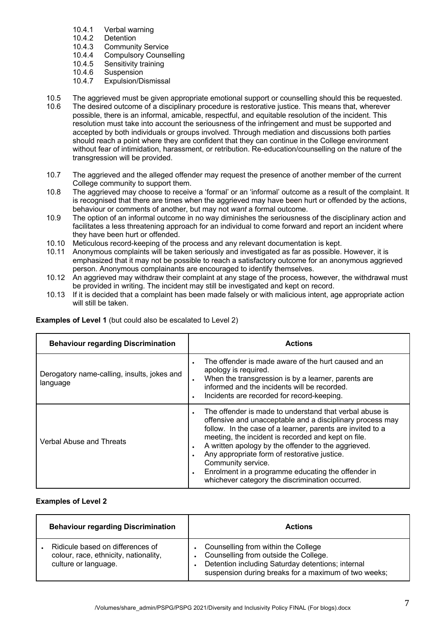- 10.4.1 Verbal warning<br>10.4.2 Detention
- 10.4.2 Detention<br>10.4.3 Communit
- Community Service
- 10.4.4 Compulsory Counselling<br>10.4.5 Sensitivity training
- 10.4.5 Sensitivity training<br>10.4.6 Suspension
- Suspension
- 10.4.7 Expulsion/Dismissal
- 10.5 The aggrieved must be given appropriate emotional support or counselling should this be requested.
- 10.6 The desired outcome of a disciplinary procedure is restorative justice. This means that, wherever possible, there is an informal, amicable, respectful, and equitable resolution of the incident. This resolution must take into account the seriousness of the infringement and must be supported and accepted by both individuals or groups involved. Through mediation and discussions both parties should reach a point where they are confident that they can continue in the College environment without fear of intimidation, harassment, or retribution. Re-education/counselling on the nature of the transgression will be provided.
- 10.7 The aggrieved and the alleged offender may request the presence of another member of the current College community to support them.
- 10.8 The aggrieved may choose to receive a 'formal' or an 'informal' outcome as a result of the complaint. It is recognised that there are times when the aggrieved may have been hurt or offended by the actions, behaviour or comments of another, but may not *want* a formal outcome.
- 10.9 The option of an informal outcome in no way diminishes the seriousness of the disciplinary action and facilitates a less threatening approach for an individual to come forward and report an incident where they have been hurt or offended.
- 10.10 Meticulous record-keeping of the process and any relevant documentation is kept.
- 10.11 Anonymous complaints will be taken seriously and investigated as far as possible. However, it is emphasized that it may not be possible to reach a satisfactory outcome for an anonymous aggrieved person. Anonymous complainants are encouraged to identify themselves.
- 10.12 An aggrieved may withdraw their complaint at any stage of the process, however, the withdrawal must be provided in writing. The incident may still be investigated and kept on record.
- 10.13 If it is decided that a complaint has been made falsely or with malicious intent, age appropriate action will still be taken.

| <b>Behaviour regarding Discrimination</b>               | <b>Actions</b>                                                                                                                                                                                                                                                                                                                                                                                                                                                                                                                      |
|---------------------------------------------------------|-------------------------------------------------------------------------------------------------------------------------------------------------------------------------------------------------------------------------------------------------------------------------------------------------------------------------------------------------------------------------------------------------------------------------------------------------------------------------------------------------------------------------------------|
| Derogatory name-calling, insults, jokes and<br>language | The offender is made aware of the hurt caused and an<br>$\bullet$<br>apology is required.<br>When the transgression is by a learner, parents are<br>$\bullet$<br>informed and the incidents will be recorded.<br>Incidents are recorded for record-keeping.<br>$\bullet$                                                                                                                                                                                                                                                            |
| Verbal Abuse and Threats                                | The offender is made to understand that verbal abuse is<br>$\bullet$<br>offensive and unacceptable and a disciplinary process may<br>follow. In the case of a learner, parents are invited to a<br>meeting, the incident is recorded and kept on file.<br>A written apology by the offender to the aggrieved.<br>$\bullet$<br>Any appropriate form of restorative justice.<br>$\bullet$<br>Community service.<br>Enrolment in a programme educating the offender in<br>$\bullet$<br>whichever category the discrimination occurred. |

**Examples of Level 1** (but could also be escalated to Level 2)

# **Examples of Level 2**

| <b>Behaviour regarding Discrimination</b>                                                         | <b>Actions</b>                                                                                                                                                                            |
|---------------------------------------------------------------------------------------------------|-------------------------------------------------------------------------------------------------------------------------------------------------------------------------------------------|
| Ridicule based on differences of<br>colour, race, ethnicity, nationality,<br>culture or language. | Counselling from within the College<br>Counselling from outside the College.<br>Detention including Saturday detentions; internal<br>suspension during breaks for a maximum of two weeks; |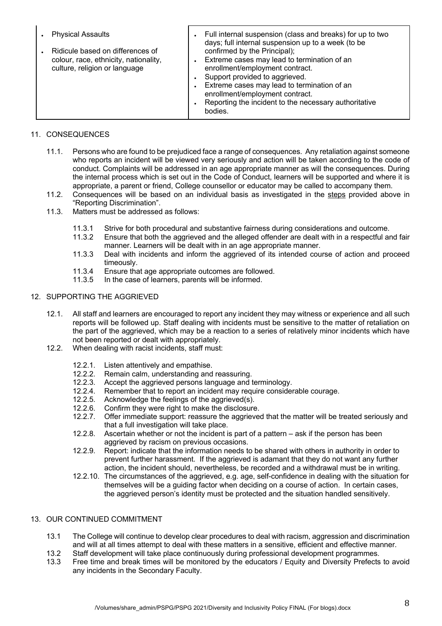| <b>Physical Assaults</b>                                                                                   | Full internal suspension (class and breaks) for up to two<br>days; full internal suspension up to a week (to be                                                                                                                                                                                        |
|------------------------------------------------------------------------------------------------------------|--------------------------------------------------------------------------------------------------------------------------------------------------------------------------------------------------------------------------------------------------------------------------------------------------------|
| Ridicule based on differences of<br>colour, race, ethnicity, nationality,<br>culture, religion or language | confirmed by the Principal);<br>Extreme cases may lead to termination of an<br>enrollment/employment contract.<br>Support provided to aggrieved.<br>Extreme cases may lead to termination of an<br>enrollment/employment contract.<br>Reporting the incident to the necessary authoritative<br>bodies. |

## 11. CONSEQUENCES

- 11.1. Persons who are found to be prejudiced face a range of consequences. Any retaliation against someone who reports an incident will be viewed very seriously and action will be taken according to the code of conduct. Complaints will be addressed in an age appropriate manner as will the consequences. During the internal process which is set out in the Code of Conduct, learners will be supported and where it is appropriate, a parent or friend, College counsellor or educator may be called to accompany them.
- 11.2. Consequences will be based on an individual basis as investigated in the steps provided above in "Reporting Discrimination".
- 11.3. Matters must be addressed as follows:
	- 11.3.1 Strive for both procedural and substantive fairness during considerations and outcome.<br>11.3.2 Ensure that both the aggrieved and the alleged offender are dealt with in a respectful are
	- Ensure that both the aggrieved and the alleged offender are dealt with in a respectful and fair manner. Learners will be dealt with in an age appropriate manner.
	- 11.3.3 Deal with incidents and inform the aggrieved of its intended course of action and proceed timeously.
	- 11.3.4 Ensure that age appropriate outcomes are followed.
	- 11.3.5 In the case of learners, parents will be informed.

## 12. SUPPORTING THE AGGRIEVED

- 12.1. All staff and learners are encouraged to report any incident they may witness or experience and all such reports will be followed up. Staff dealing with incidents must be sensitive to the matter of retaliation on the part of the aggrieved, which may be a reaction to a series of relatively minor incidents which have not been reported or dealt with appropriately.
- 12.2. When dealing with racist incidents, staff must:
	- 12.2.1. Listen attentively and empathise.
	- 12.2.2. Remain calm, understanding and reassuring.
	- 12.2.3. Accept the aggrieved persons language and terminology.
	- 12.2.4. Remember that to report an incident may require considerable courage.
	- 12.2.5. Acknowledge the feelings of the aggrieved(s).
	- 12.2.6. Confirm they were right to make the disclosure.
	- 12.2.7. Offer immediate support: reassure the aggrieved that the matter will be treated seriously and that a full investigation will take place.
	- 12.2.8. Ascertain whether or not the incident is part of a pattern ask if the person has been aggrieved by racism on previous occasions.
	- 12.2.9. Report: indicate that the information needs to be shared with others in authority in order to prevent further harassment. If the aggrieved is adamant that they do not want any further action, the incident should, nevertheless, be recorded and a withdrawal must be in writing.
	- 12.2.10. The circumstances of the aggrieved, e.g. age, self-confidence in dealing with the situation for themselves will be a guiding factor when deciding on a course of action. In certain cases, the aggrieved person's identity must be protected and the situation handled sensitively.

## 13. OUR CONTINUED COMMITMENT

- 13.1 The College will continue to develop clear procedures to deal with racism, aggression and discrimination and will at all times attempt to deal with these matters in a sensitive, efficient and effective manner.
- 13.2 Staff development will take place continuously during professional development programmes.
- 13.3 Free time and break times will be monitored by the educators / Equity and Diversity Prefects to avoid any incidents in the Secondary Faculty.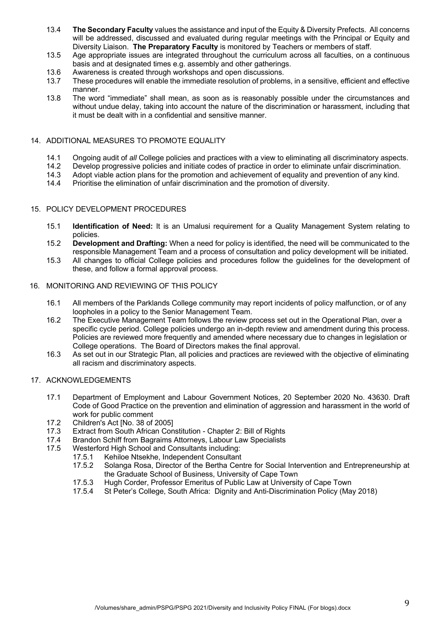- 13.4 **The Secondary Faculty** values the assistance and input of the Equity & Diversity Prefects. All concerns will be addressed, discussed and evaluated during regular meetings with the Principal or Equity and Diversity Liaison. **The Preparatory Faculty** is monitored by Teachers or members of staff.
- 13.5 Age appropriate issues are integrated throughout the curriculum across all faculties, on a continuous basis and at designated times e.g. assembly and other gatherings.
- 13.6 Awareness is created through workshops and open discussions.
- 13.7 These procedures will enable the immediate resolution of problems, in a sensitive, efficient and effective manner.
- 13.8 The word "immediate" shall mean, as soon as is reasonably possible under the circumstances and without undue delay, taking into account the nature of the discrimination or harassment, including that it must be dealt with in a confidential and sensitive manner.

## 14. ADDITIONAL MEASURES TO PROMOTE EQUALITY

- 14.1 Ongoing audit of *all* College policies and practices with a view to eliminating all discriminatory aspects.
- Develop progressive policies and initiate codes of practice in order to eliminate unfair discrimination.
- 14.3 Adopt viable action plans for the promotion and achievement of equality and prevention of any kind.
- 14.4 Prioritise the elimination of unfair discrimination and the promotion of diversity.

### 15. POLICY DEVELOPMENT PROCEDURES

- 15.1 **Identification of Need:** It is an Umalusi requirement for a Quality Management System relating to policies.
- 15.2 **Development and Drafting:** When a need for policy is identified, the need will be communicated to the responsible Management Team and a process of consultation and policy development will be initiated.
- 15.3 All changes to official College policies and procedures follow the guidelines for the development of these, and follow a formal approval process.

### 16. MONITORING AND REVIEWING OF THIS POLICY

- 16.1 All members of the Parklands College community may report incidents of policy malfunction, or of any loopholes in a policy to the Senior Management Team.
- 16.2 The Executive Management Team follows the review process set out in the Operational Plan, over a specific cycle period. College policies undergo an in-depth review and amendment during this process. Policies are reviewed more frequently and amended where necessary due to changes in legislation or College operations. The Board of Directors makes the final approval.
- 16.3 As set out in our Strategic Plan, all policies and practices are reviewed with the objective of eliminating all racism and discriminatory aspects.

## 17. ACKNOWLEDGEMENTS

- 17.1 Department of Employment and Labour Government Notices, 20 September 2020 No. 43630. Draft Code of Good Practice on the prevention and elimination of aggression and harassment in the world of work for public comment
- 17.2 Children's Act [No. 38 of 2005]
- 17.3 Extract from South African Constitution Chapter 2: Bill of Rights
- 17.4 Brandon Schiff from Bagraims Attorneys, Labour Law Specialists
- 17.5 Westerford High School and Consultants including:
	- 17.5.1 Kehiloe Ntsekhe, Independent Consultant
	- 17.5.2 Solanga Rosa, Director of the Bertha Centre for Social Intervention and Entrepreneurship at the Graduate School of Business, University of Cape Town
	- 17.5.3 Hugh Corder, Professor Emeritus of Public Law at University of Cape Town
	- 17.5.4 St Peter's College, South Africa: Dignity and Anti-Discrimination Policy (May 2018)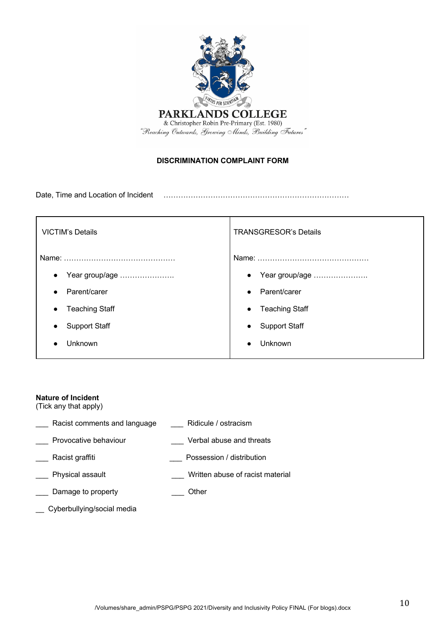

# **DISCRIMINATION COMPLAINT FORM**

Date, Time and Location of Incident …………………………………………………………………

| <b>VICTIM's Details</b> | <b>TRANSGRESOR's Details</b> |  |
|-------------------------|------------------------------|--|
|                         |                              |  |
| Year group/age          | Year group/age               |  |
| $\bullet$               | $\bullet$                    |  |
| Parent/carer            | Parent/carer                 |  |
| $\bullet$               | $\bullet$                    |  |
| <b>Teaching Staff</b>   | <b>Teaching Staff</b>        |  |
| $\bullet$               | $\bullet$                    |  |
| <b>Support Staff</b>    | <b>Support Staff</b>         |  |
| $\bullet$               | $\bullet$                    |  |
| Unknown                 | Unknown                      |  |

## **Nature of Incident**

(Tick any that apply)

| Racist comments and language | Ridicule / ostracism             |
|------------------------------|----------------------------------|
| Provocative behaviour        | Verbal abuse and threats         |
| Racist graffiti              | Possession / distribution        |
| Physical assault             | Written abuse of racist material |
| Damage to property           | <b>Other</b>                     |

\_\_ Cyberbullying/social media